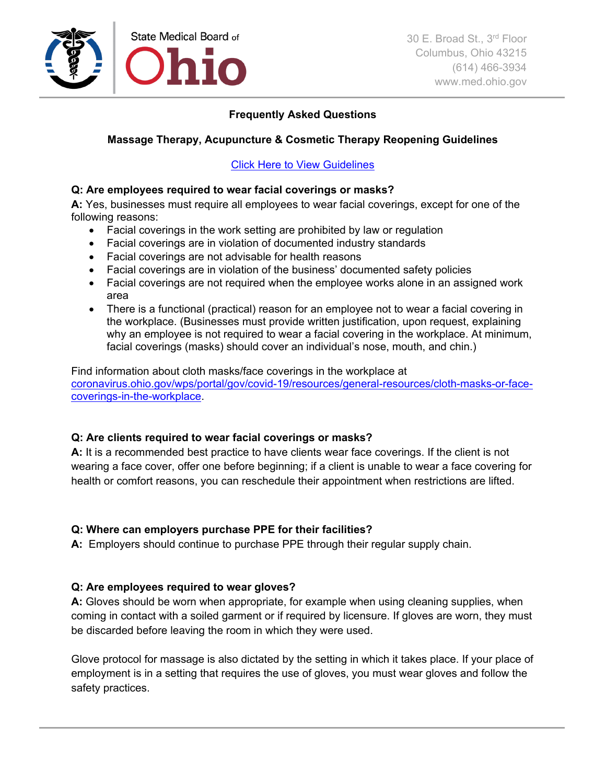

## **Frequently Asked Questions**

# **Massage Therapy, Acupuncture & Cosmetic Therapy Reopening Guidelines**

Click Here to [View Guidelines](https://coronavirus.ohio.gov/static/responsible/State-Med-Board-Massage-Acupuncture-Cosmetic-Therapy.pdf)

### **Q: Are employees required to wear facial coverings or masks?**

**A:** Yes, businesses must require all employees to wear facial coverings, except for one of the following reasons:

- Facial coverings in the work setting are prohibited by law or regulation
- Facial coverings are in violation of documented industry standards
- Facial coverings are not advisable for health reasons
- Facial coverings are in violation of the business' documented safety policies
- Facial coverings are not required when the employee works alone in an assigned work area
- There is a functional (practical) reason for an employee not to wear a facial covering in the workplace. (Businesses must provide written justification, upon request, explaining why an employee is not required to wear a facial covering in the workplace. At minimum, facial coverings (masks) should cover an individual's nose, mouth, and chin.)

Find information about cloth masks/face coverings in the workplace at [coronavirus.ohio.gov/wps/portal/gov/covid-19/resources/general-resources/cloth-masks-or-face](https://coronavirus.ohio.gov/wps/portal/gov/covid-19/resources/general-resources/cloth-masks-or-face-coverings-in-the-workplace)[coverings-in-the-workplace.](https://coronavirus.ohio.gov/wps/portal/gov/covid-19/resources/general-resources/cloth-masks-or-face-coverings-in-the-workplace)

## **Q: Are clients required to wear facial coverings or masks?**

**A:** It is a recommended best practice to have clients wear face coverings. If the client is not wearing a face cover, offer one before beginning; if a client is unable to wear a face covering for health or comfort reasons, you can reschedule their appointment when restrictions are lifted.

## **Q: Where can employers purchase PPE for their facilities?**

**A:** Employers should continue to purchase PPE through their regular supply chain.

## **Q: Are employees required to wear gloves?**

**A:** Gloves should be worn when appropriate, for example when using cleaning supplies, when coming in contact with a soiled garment or if required by licensure. If gloves are worn, they must be discarded before leaving the room in which they were used.

Glove protocol for massage is also dictated by the setting in which it takes place. If your place of employment is in a setting that requires the use of gloves, you must wear gloves and follow the safety practices.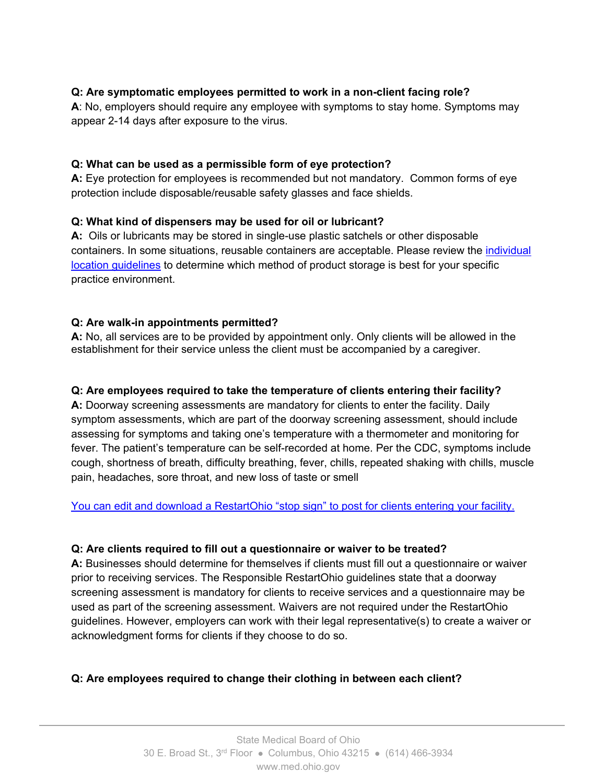## **Q: Are symptomatic employees permitted to work in a non-client facing role?**

**A**: No, employers should require any employee with symptoms to stay home. Symptoms may appear 2-14 days after exposure to the virus.

### **Q: What can be used as a permissible form of eye protection?**

**A:** Eye protection for employees is recommended but not mandatory. Common forms of eye protection include disposable/reusable safety glasses and face shields.

### **Q: What kind of dispensers may be used for oil or lubricant?**

**A:** Oils or lubricants may be stored in single-use plastic satchels or other disposable containers. In some situations, reusable containers are acceptable. Please review the [individual](https://www.med.ohio.gov/LinkClick.aspx?fileticket=u9MAZrjloS8%3d&portalid=0%C3%97tamp=1589475242282)  [location guidelines](https://www.med.ohio.gov/LinkClick.aspx?fileticket=u9MAZrjloS8%3d&portalid=0%C3%97tamp=1589475242282) to determine which method of product storage is best for your specific practice environment.

### **Q: Are walk-in appointments permitted?**

**A:** No, all services are to be provided by appointment only. Only clients will be allowed in the establishment for their service unless the client must be accompanied by a caregiver.

### **Q: Are employees required to take the temperature of clients entering their facility?**

**A:** Doorway screening assessments are mandatory for clients to enter the facility. Daily symptom assessments, which are part of the doorway screening assessment, should include assessing for symptoms and taking one's temperature with a thermometer and monitoring for fever. The patient's temperature can be self-recorded at home. Per the CDC, symptoms include cough, shortness of breath, difficulty breathing, fever, chills, repeated shaking with chills, muscle pain, headaches, sore throat, and new loss of taste or smell

#### [You can edit and download a RestartOhio "stop sign" to post for clients entering your facility.](https://coronavirus.ohio.gov/wps/portal/gov/covid-19/responsible-restart-ohio/responsible-protocols/editable-welcome-stop-sign-for-businesses)

#### **Q: Are clients required to fill out a questionnaire or waiver to be treated?**

**A:** Businesses should determine for themselves if clients must fill out a questionnaire or waiver prior to receiving services. The Responsible RestartOhio guidelines state that a doorway screening assessment is mandatory for clients to receive services and a questionnaire may be used as part of the screening assessment. Waivers are not required under the RestartOhio guidelines. However, employers can work with their legal representative(s) to create a waiver or acknowledgment forms for clients if they choose to do so.

## **Q: Are employees required to change their clothing in between each client?**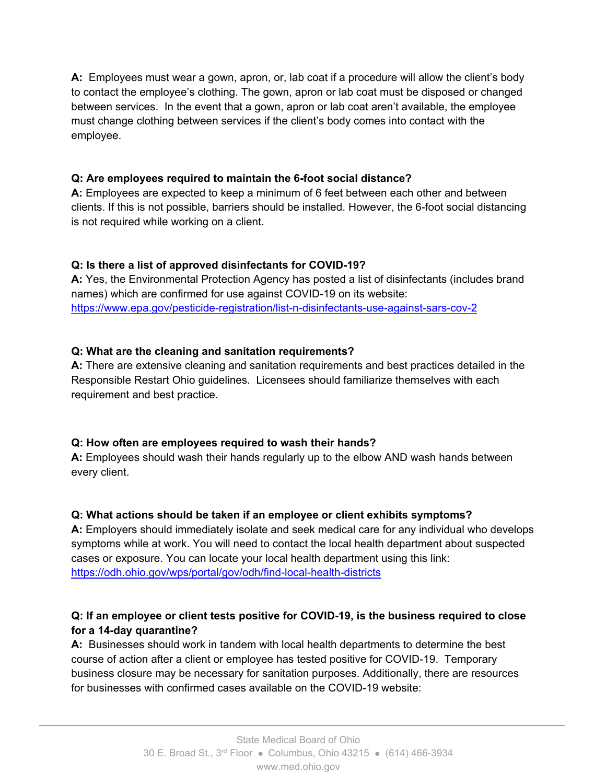**A:** Employees must wear a gown, apron, or, lab coat if a procedure will allow the client's body to contact the employee's clothing. The gown, apron or lab coat must be disposed or changed between services. In the event that a gown, apron or lab coat aren't available, the employee must change clothing between services if the client's body comes into contact with the employee.

# **Q: Are employees required to maintain the 6-foot social distance?**

**A:** Employees are expected to keep a minimum of 6 feet between each other and between clients. If this is not possible, barriers should be installed. However, the 6-foot social distancing is not required while working on a client.

# **Q: Is there a list of approved disinfectants for COVID-19?**

**A:** Yes, the Environmental Protection Agency has posted a list of disinfectants (includes brand names) which are confirmed for use against COVID-19 on its website: <https://www.epa.gov/pesticide-registration/list-n-disinfectants-use-against-sars-cov-2>

# **Q: What are the cleaning and sanitation requirements?**

**A:** There are extensive cleaning and sanitation requirements and best practices detailed in the Responsible Restart Ohio guidelines. Licensees should familiarize themselves with each requirement and best practice.

## **Q: How often are employees required to wash their hands?**

**A:** Employees should wash their hands regularly up to the elbow AND wash hands between every client.

## **Q: What actions should be taken if an employee or client exhibits symptoms?**

**A:** Employers should immediately isolate and seek medical care for any individual who develops symptoms while at work. You will need to contact the local health department about suspected cases or exposure. You can locate your local health department using this link: <https://odh.ohio.gov/wps/portal/gov/odh/find-local-health-districts>

# **Q: If an employee or client tests positive for COVID-19, is the business required to close for a 14-day quarantine?**

**A:** Businesses should work in tandem with local health departments to determine the best course of action after a client or employee has tested positive for COVID-19. Temporary business closure may be necessary for sanitation purposes. Additionally, there are resources for businesses with confirmed cases available on the COVID-19 website: